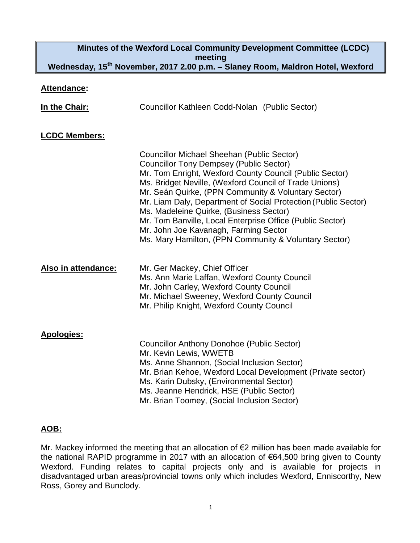# **Minutes of the Wexford Local Community Development Committee (LCDC) meeting Wednesday, 15th November, 2017 2.00 p.m. – Slaney Room, Maldron Hotel, Wexford**

#### **Attendance:**

| In the Chair:        | Councillor Kathleen Codd-Nolan (Public Sector)                                                                                                                                                                                                                                                                                                                                                                                                                                                                                                              |
|----------------------|-------------------------------------------------------------------------------------------------------------------------------------------------------------------------------------------------------------------------------------------------------------------------------------------------------------------------------------------------------------------------------------------------------------------------------------------------------------------------------------------------------------------------------------------------------------|
| <b>LCDC Members:</b> |                                                                                                                                                                                                                                                                                                                                                                                                                                                                                                                                                             |
|                      | <b>Councillor Michael Sheehan (Public Sector)</b><br><b>Councillor Tony Dempsey (Public Sector)</b><br>Mr. Tom Enright, Wexford County Council (Public Sector)<br>Ms. Bridget Neville, (Wexford Council of Trade Unions)<br>Mr. Seán Quirke, (PPN Community & Voluntary Sector)<br>Mr. Liam Daly, Department of Social Protection (Public Sector)<br>Ms. Madeleine Quirke, (Business Sector)<br>Mr. Tom Banville, Local Enterprise Office (Public Sector)<br>Mr. John Joe Kavanagh, Farming Sector<br>Ms. Mary Hamilton, (PPN Community & Voluntary Sector) |
| Also in attendance:  | Mr. Ger Mackey, Chief Officer<br>Ms. Ann Marie Laffan, Wexford County Council<br>Mr. John Carley, Wexford County Council<br>Mr. Michael Sweeney, Wexford County Council<br>Mr. Philip Knight, Wexford County Council                                                                                                                                                                                                                                                                                                                                        |
| <b>Apologies:</b>    | <b>Councillor Anthony Donohoe (Public Sector)</b><br>Mr. Kevin Lewis, WWETB<br>Ms. Anne Shannon, (Social Inclusion Sector)<br>Mr. Brian Kehoe, Wexford Local Development (Private sector)<br>Ms. Karin Dubsky, (Environmental Sector)<br>Ms. Jeanne Hendrick, HSE (Public Sector)<br>Mr. Brian Toomey, (Social Inclusion Sector)                                                                                                                                                                                                                            |

## **AOB:**

Mr. Mackey informed the meeting that an allocation of €2 million has been made available for the national RAPID programme in 2017 with an allocation of €64,500 bring given to County Wexford. Funding relates to capital projects only and is available for projects in disadvantaged urban areas/provincial towns only which includes Wexford, Enniscorthy, New Ross, Gorey and Bunclody.